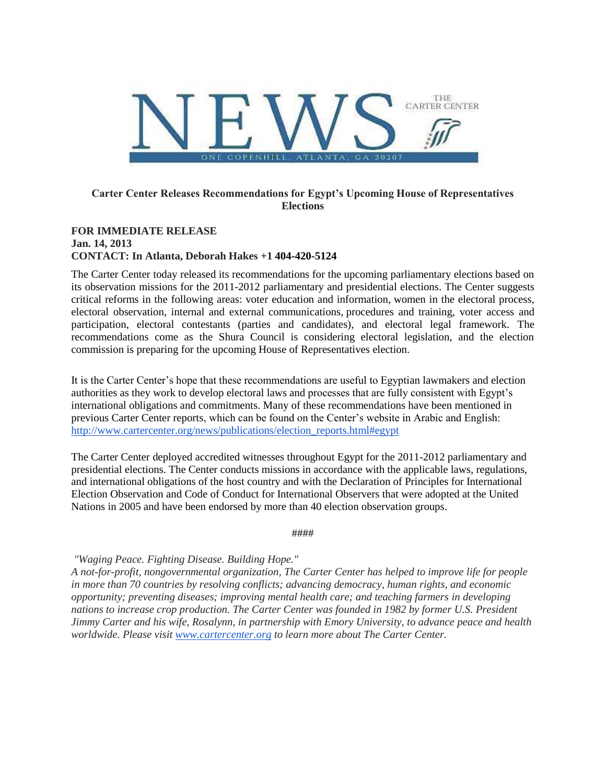

# **Carter Center Releases Recommendations for Egypt's Upcoming House of Representatives Elections**

#### **FOR IMMEDIATE RELEASE Jan. 14, 2013 CONTACT: In Atlanta, Deborah Hakes +1 404-420-5124**

The Carter Center today released its recommendations for the upcoming parliamentary elections based on its observation missions for the 2011-2012 parliamentary and presidential elections. The Center suggests critical reforms in the following areas: voter education and information, women in the electoral process, electoral observation, internal and external communications, procedures and training, voter access and participation, electoral contestants (parties and candidates), and electoral legal framework. The recommendations come as the Shura Council is considering electoral legislation, and the election commission is preparing for the upcoming House of Representatives election.

It is the Carter Center's hope that these recommendations are useful to Egyptian lawmakers and election authorities as they work to develop electoral laws and processes that are fully consistent with Egypt's international obligations and commitments. Many of these recommendations have been mentioned in previous Carter Center reports, which can be found on the Center's website in Arabic and English: [http://www.cartercenter.org/news/publications/election\\_reports.html#egypt](http://www.cartercenter.org/news/publications/election_reports.html#egypt)

The Carter Center deployed accredited witnesses throughout Egypt for the 2011-2012 parliamentary and presidential elections. The Center conducts missions in accordance with the applicable laws, regulations, and international obligations of the host country and with the Declaration of Principles for International Election Observation and Code of Conduct for International Observers that were adopted at the United Nations in 2005 and have been endorsed by more than 40 election observation groups.

####

*"Waging Peace. Fighting Disease. Building Hope."*

*A not-for-profit, nongovernmental organization, The Carter Center has helped to improve life for people in more than 70 countries by resolving conflicts; advancing democracy, human rights, and economic opportunity; preventing diseases; improving mental health care; and teaching farmers in developing nations to increase crop production. The Carter Center was founded in 1982 by former U.S. President Jimmy Carter and his wife, Rosalynn, in partnership with Emory University, to advance peace and health worldwide. Please visit [www.cartercenter.org](http://urlblockederror.aspx/) to learn more about The Carter Center.*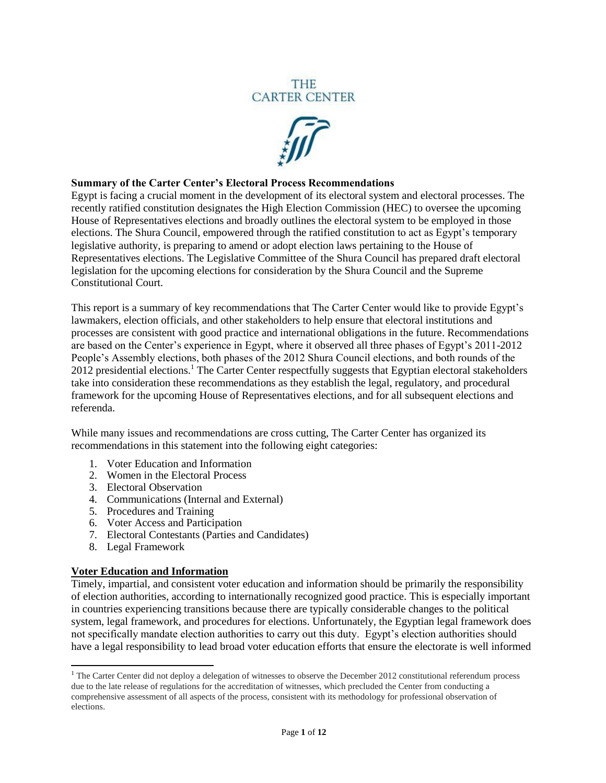# **THE CARTER CENTER**



#### **Summary of the Carter Center's Electoral Process Recommendations**

Egypt is facing a crucial moment in the development of its electoral system and electoral processes. The recently ratified constitution designates the High Election Commission (HEC) to oversee the upcoming House of Representatives elections and broadly outlines the electoral system to be employed in those elections. The Shura Council, empowered through the ratified constitution to act as Egypt's temporary legislative authority, is preparing to amend or adopt election laws pertaining to the House of Representatives elections. The Legislative Committee of the Shura Council has prepared draft electoral legislation for the upcoming elections for consideration by the Shura Council and the Supreme Constitutional Court.

This report is a summary of key recommendations that The Carter Center would like to provide Egypt's lawmakers, election officials, and other stakeholders to help ensure that electoral institutions and processes are consistent with good practice and international obligations in the future. Recommendations are based on the Center's experience in Egypt, where it observed all three phases of Egypt's 2011-2012 People's Assembly elections, both phases of the 2012 Shura Council elections, and both rounds of the 2012 presidential elections.<sup>1</sup> The Carter Center respectfully suggests that Egyptian electoral stakeholders take into consideration these recommendations as they establish the legal, regulatory, and procedural framework for the upcoming House of Representatives elections, and for all subsequent elections and referenda.

While many issues and recommendations are cross cutting, The Carter Center has organized its recommendations in this statement into the following eight categories:

- 1. Voter Education and Information
- 2. Women in the Electoral Process
- 3. Electoral Observation
- 4. Communications (Internal and External)
- 5. Procedures and Training
- 6. Voter Access and Participation
- 7. Electoral Contestants (Parties and Candidates)
- 8. Legal Framework

 $\overline{\phantom{a}}$ 

#### **Voter Education and Information**

Timely, impartial, and consistent voter education and information should be primarily the responsibility of election authorities, according to internationally recognized good practice. This is especially important in countries experiencing transitions because there are typically considerable changes to the political system, legal framework, and procedures for elections. Unfortunately, the Egyptian legal framework does not specifically mandate election authorities to carry out this duty. Egypt's election authorities should have a legal responsibility to lead broad voter education efforts that ensure the electorate is well informed

 $<sup>1</sup>$  The Carter Center did not deploy a delegation of witnesses to observe the December 2012 constitutional referendum process</sup> due to the late release of regulations for the accreditation of witnesses, which precluded the Center from conducting a comprehensive assessment of all aspects of the process, consistent with its methodology for professional observation of elections.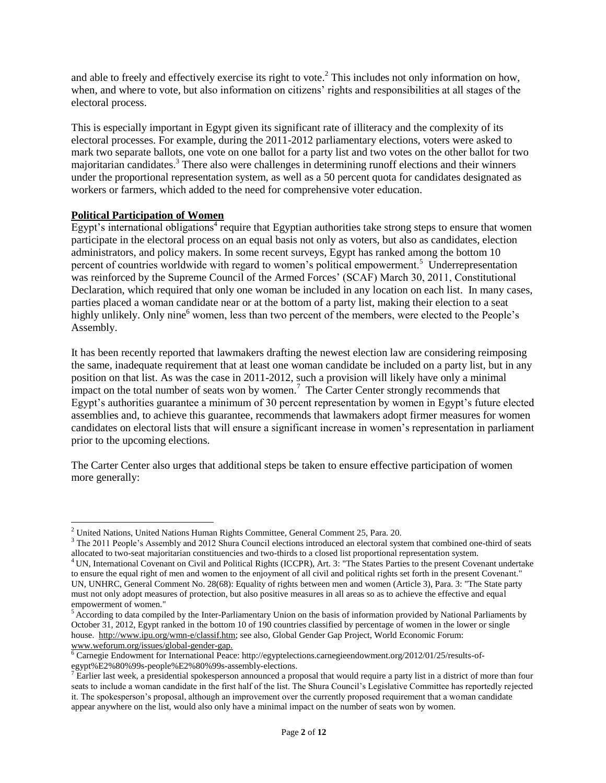and able to freely and effectively exercise its right to vote.<sup>2</sup> This includes not only information on how, when, and where to vote, but also information on citizens' rights and responsibilities at all stages of the electoral process.

This is especially important in Egypt given its significant rate of illiteracy and the complexity of its electoral processes. For example, during the 2011-2012 parliamentary elections, voters were asked to mark two separate ballots, one vote on one ballot for a party list and two votes on the other ballot for two majoritarian candidates.<sup>3</sup> There also were challenges in determining runoff elections and their winners under the proportional representation system, as well as a 50 percent quota for candidates designated as workers or farmers, which added to the need for comprehensive voter education.

# **Political Participation of Women**

 $\overline{\phantom{a}}$ 

Egypt's international obligations<sup>4</sup> require that Egyptian authorities take strong steps to ensure that women participate in the electoral process on an equal basis not only as voters, but also as candidates, election administrators, and policy makers. In some recent surveys, Egypt has ranked among the bottom 10 percent of countries worldwide with regard to women's political empowerment.<sup>5</sup> Underrepresentation was reinforced by the Supreme Council of the Armed Forces' (SCAF) March 30, 2011, Constitutional Declaration, which required that only one woman be included in any location on each list. In many cases, parties placed a woman candidate near or at the bottom of a party list, making their election to a seat highly unlikely. Only nine<sup>6</sup> women, less than two percent of the members, were elected to the People's Assembly.

It has been recently reported that lawmakers drafting the newest election law are considering reimposing the same, inadequate requirement that at least one woman candidate be included on a party list, but in any position on that list. As was the case in 2011-2012, such a provision will likely have only a minimal impact on the total number of seats won by women.<sup>7</sup> The Carter Center strongly recommends that Egypt's authorities guarantee a minimum of 30 percent representation by women in Egypt's future elected assemblies and, to achieve this guarantee, recommends that lawmakers adopt firmer measures for women candidates on electoral lists that will ensure a significant increase in women's representation in parliament prior to the upcoming elections.

The Carter Center also urges that additional steps be taken to ensure effective participation of women more generally:

<sup>2</sup> United Nations, United Nations Human Rights Committee, General Comment 25, Para. 20.

<sup>&</sup>lt;sup>3</sup> The 2011 People's Assembly and 2012 Shura Council elections introduced an electoral system that combined one-third of seats allocated to two-seat majoritarian constituencies and two-thirds to a closed list proportional representation system.

<sup>&</sup>lt;sup>4</sup> UN, International Covenant on Civil and Political Rights (ICCPR), Art. 3: "The States Parties to the present Covenant undertake to ensure the equal right of men and women to the enjoyment of all civil and political rights set forth in the present Covenant." UN, UNHRC, General Comment No. 28(68): Equality of rights between men and women (Article 3), Para. 3: "The State party must not only adopt measures of protection, but also positive measures in all areas so as to achieve the effective and equal empowerment of women."

<sup>&</sup>lt;sup>5</sup> According to data compiled by the Inter-Parliamentary Union on the basis of information provided by National Parliaments by October 31, 2012, Egypt ranked in the bottom 10 of 190 countries classified by percentage of women in the lower or single house. [http://www.ipu.org/wmn-e/classif.htm;](http://www.ipu.org/wmn-e/classif.htm) see also, Global Gender Gap Project, World Economic Forum: [www.weforum.org/issues/global-gender-gap.](http://www.weforum.org/issues/global-gender-gap)

<sup>6</sup> Carnegie Endowment for International Peace: http://egyptelections.carnegieendowment.org/2012/01/25/results-ofegypt%E2%80%99s-people%E2%80%99s-assembly-elections.

 $^7$  Earlier last week, a presidential spokesperson announced a proposal that would require a party list in a district of more than four seats to include a woman candidate in the first half of the list. The Shura Council's Legislative Committee has reportedly rejected it. The spokesperson's proposal, although an improvement over the currently proposed requirement that a woman candidate appear anywhere on the list, would also only have a minimal impact on the number of seats won by women.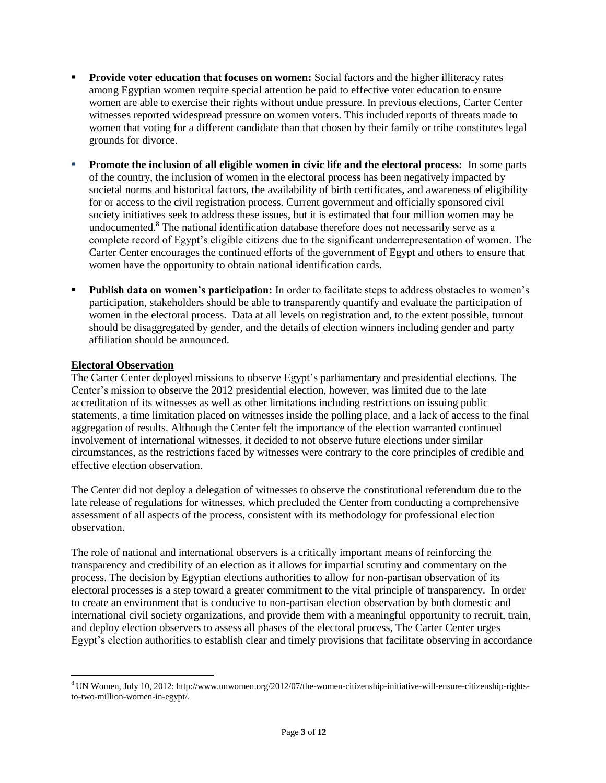- **Provide voter education that focuses on women:** Social factors and the higher illiteracy rates among Egyptian women require special attention be paid to effective voter education to ensure women are able to exercise their rights without undue pressure. In previous elections, Carter Center witnesses reported widespread pressure on women voters. This included reports of threats made to women that voting for a different candidate than that chosen by their family or tribe constitutes legal grounds for divorce.
- **Promote the inclusion of all eligible women in civic life and the electoral process:** In some parts of the country, the inclusion of women in the electoral process has been negatively impacted by societal norms and historical factors, the availability of birth certificates, and awareness of eligibility for or access to the civil registration process. Current government and officially sponsored civil society initiatives seek to address these issues, but it is estimated that four million women may be undocumented.<sup>8</sup> The national identification database therefore does not necessarily serve as a complete record of Egypt's eligible citizens due to the significant underrepresentation of women. The Carter Center encourages the continued efforts of the government of Egypt and others to ensure that women have the opportunity to obtain national identification cards.
- **Publish data on women's participation:** In order to facilitate steps to address obstacles to women's participation, stakeholders should be able to transparently quantify and evaluate the participation of women in the electoral process.Data at all levels on registration and, to the extent possible, turnout should be disaggregated by gender, and the details of election winners including gender and party affiliation should be announced.

# **Electoral Observation**

l

The Carter Center deployed missions to observe Egypt's parliamentary and presidential elections. The Center's mission to observe the 2012 presidential election, however, was limited due to the late accreditation of its witnesses as well as other limitations including restrictions on issuing public statements, a time limitation placed on witnesses inside the polling place, and a lack of access to the final aggregation of results. Although the Center felt the importance of the election warranted continued involvement of international witnesses, it decided to not observe future elections under similar circumstances, as the restrictions faced by witnesses were contrary to the core principles of credible and effective election observation.

The Center did not deploy a delegation of witnesses to observe the constitutional referendum due to the late release of regulations for witnesses, which precluded the Center from conducting a comprehensive assessment of all aspects of the process, consistent with its methodology for professional election observation.

The role of national and international observers is a critically important means of reinforcing the transparency and credibility of an election as it allows for impartial scrutiny and commentary on the process. The decision by Egyptian elections authorities to allow for non-partisan observation of its electoral processes is a step toward a greater commitment to the vital principle of transparency. In order to create an environment that is conducive to non-partisan election observation by both domestic and international civil society organizations, and provide them with a meaningful opportunity to recruit, train, and deploy election observers to assess all phases of the electoral process, The Carter Center urges Egypt's election authorities to establish clear and timely provisions that facilitate observing in accordance

<sup>8</sup> UN Women, July 10, 2012[: http://www.unwomen.org/2012/07/the-women-citizenship-initiative-will-ensure-citizenship-rights](http://www.unwomen.org/2012/07/the-women-citizenship-initiative-will-ensure-citizenship-rights-to-two-million-women-in-egypt/)[to-two-million-women-in-egypt/.](http://www.unwomen.org/2012/07/the-women-citizenship-initiative-will-ensure-citizenship-rights-to-two-million-women-in-egypt/)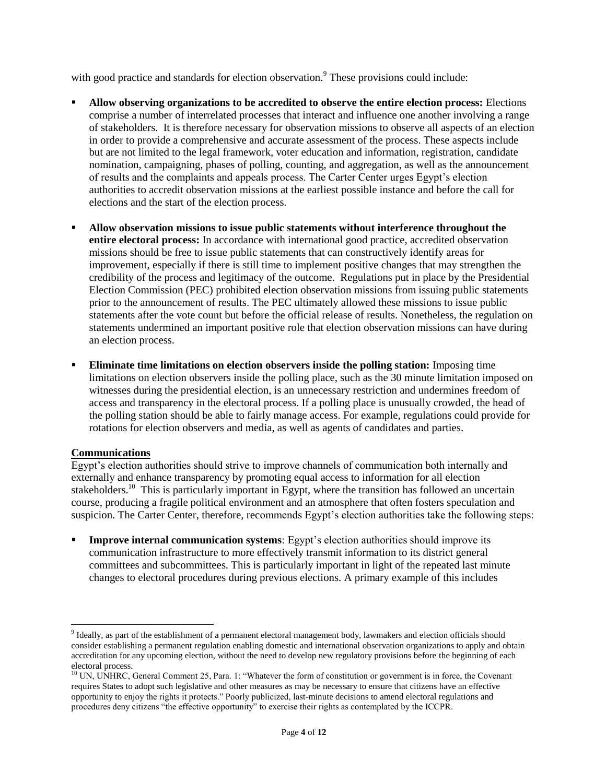with good practice and standards for election observation.<sup>9</sup> These provisions could include:

- **Allow observing organizations to be accredited to observe the entire election process:** Elections comprise a number of interrelated processes that interact and influence one another involving a range of stakeholders. It is therefore necessary for observation missions to observe all aspects of an election in order to provide a comprehensive and accurate assessment of the process. These aspects include but are not limited to the legal framework, voter education and information, registration, candidate nomination, campaigning, phases of polling, counting, and aggregation, as well as the announcement of results and the complaints and appeals process. The Carter Center urges Egypt's election authorities to accredit observation missions at the earliest possible instance and before the call for elections and the start of the election process.
- **Allow observation missions to issue public statements without interference throughout the entire electoral process:** In accordance with international good practice, accredited observation missions should be free to issue public statements that can constructively identify areas for improvement, especially if there is still time to implement positive changes that may strengthen the credibility of the process and legitimacy of the outcome. Regulations put in place by the Presidential Election Commission (PEC) prohibited election observation missions from issuing public statements prior to the announcement of results. The PEC ultimately allowed these missions to issue public statements after the vote count but before the official release of results. Nonetheless, the regulation on statements undermined an important positive role that election observation missions can have during an election process.
- **Eliminate time limitations on election observers inside the polling station:** Imposing time limitations on election observers inside the polling place, such as the 30 minute limitation imposed on witnesses during the presidential election, is an unnecessary restriction and undermines freedom of access and transparency in the electoral process. If a polling place is unusually crowded, the head of the polling station should be able to fairly manage access. For example, regulations could provide for rotations for election observers and media, as well as agents of candidates and parties.

#### **Communications**

 $\overline{\phantom{a}}$ 

Egypt's election authorities should strive to improve channels of communication both internally and externally and enhance transparency by promoting equal access to information for all election stakeholders.<sup>10</sup> This is particularly important in Egypt, where the transition has followed an uncertain course, producing a fragile political environment and an atmosphere that often fosters speculation and suspicion. The Carter Center, therefore, recommends Egypt's election authorities take the following steps:

 **Improve internal communication systems**: Egypt's election authorities should improve its communication infrastructure to more effectively transmit information to its district general committees and subcommittees. This is particularly important in light of the repeated last minute changes to electoral procedures during previous elections. A primary example of this includes

<sup>&</sup>lt;sup>9</sup> Ideally, as part of the establishment of a permanent electoral management body, lawmakers and election officials should consider establishing a permanent regulation enabling domestic and international observation organizations to apply and obtain accreditation for any upcoming election, without the need to develop new regulatory provisions before the beginning of each electoral process.

<sup>&</sup>lt;sup>10</sup> UN, UNHRC, General Comment 25, Para. 1: "Whatever the form of constitution or government is in force, the Covenant requires States to adopt such legislative and other measures as may be necessary to ensure that citizens have an effective opportunity to enjoy the rights it protects." Poorly publicized, last-minute decisions to amend electoral regulations and procedures deny citizens "the effective opportunity" to exercise their rights as contemplated by the ICCPR.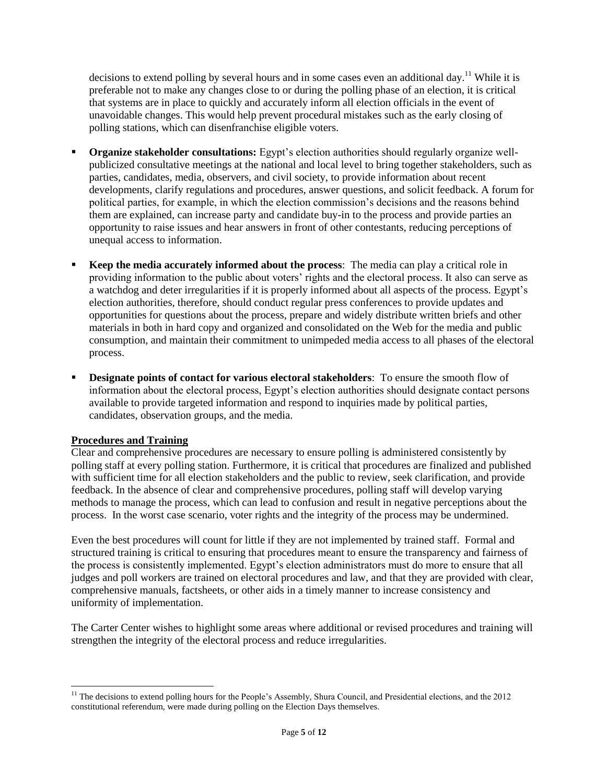decisions to extend polling by several hours and in some cases even an additional day.<sup>11</sup> While it is preferable not to make any changes close to or during the polling phase of an election, it is critical that systems are in place to quickly and accurately inform all election officials in the event of unavoidable changes. This would help prevent procedural mistakes such as the early closing of polling stations, which can disenfranchise eligible voters.

- **Organize stakeholder consultations:** Egypt's election authorities should regularly organize wellpublicized consultative meetings at the national and local level to bring together stakeholders, such as parties, candidates, media, observers, and civil society, to provide information about recent developments, clarify regulations and procedures, answer questions, and solicit feedback. A forum for political parties, for example, in which the election commission's decisions and the reasons behind them are explained, can increase party and candidate buy-in to the process and provide parties an opportunity to raise issues and hear answers in front of other contestants, reducing perceptions of unequal access to information.
- **Keep the media accurately informed about the process**: The media can play a critical role in providing information to the public about voters' rights and the electoral process. It also can serve as a watchdog and deter irregularities if it is properly informed about all aspects of the process. Egypt's election authorities, therefore, should conduct regular press conferences to provide updates and opportunities for questions about the process, prepare and widely distribute written briefs and other materials in both in hard copy and organized and consolidated on the Web for the media and public consumption, and maintain their commitment to unimpeded media access to all phases of the electoral process.
- **Designate points of contact for various electoral stakeholders**: To ensure the smooth flow of information about the electoral process, Egypt's election authorities should designate contact persons available to provide targeted information and respond to inquiries made by political parties, candidates, observation groups, and the media.

# **Procedures and Training**

Clear and comprehensive procedures are necessary to ensure polling is administered consistently by polling staff at every polling station. Furthermore, it is critical that procedures are finalized and published with sufficient time for all election stakeholders and the public to review, seek clarification, and provide feedback. In the absence of clear and comprehensive procedures, polling staff will develop varying methods to manage the process, which can lead to confusion and result in negative perceptions about the process. In the worst case scenario, voter rights and the integrity of the process may be undermined.

Even the best procedures will count for little if they are not implemented by trained staff. Formal and structured training is critical to ensuring that procedures meant to ensure the transparency and fairness of the process is consistently implemented. Egypt's election administrators must do more to ensure that all judges and poll workers are trained on electoral procedures and law, and that they are provided with clear, comprehensive manuals, factsheets, or other aids in a timely manner to increase consistency and uniformity of implementation.

The Carter Center wishes to highlight some areas where additional or revised procedures and training will strengthen the integrity of the electoral process and reduce irregularities.

 $\overline{a}$ <sup>11</sup> The decisions to extend polling hours for the People's Assembly, Shura Council, and Presidential elections, and the  $2012$ constitutional referendum, were made during polling on the Election Days themselves.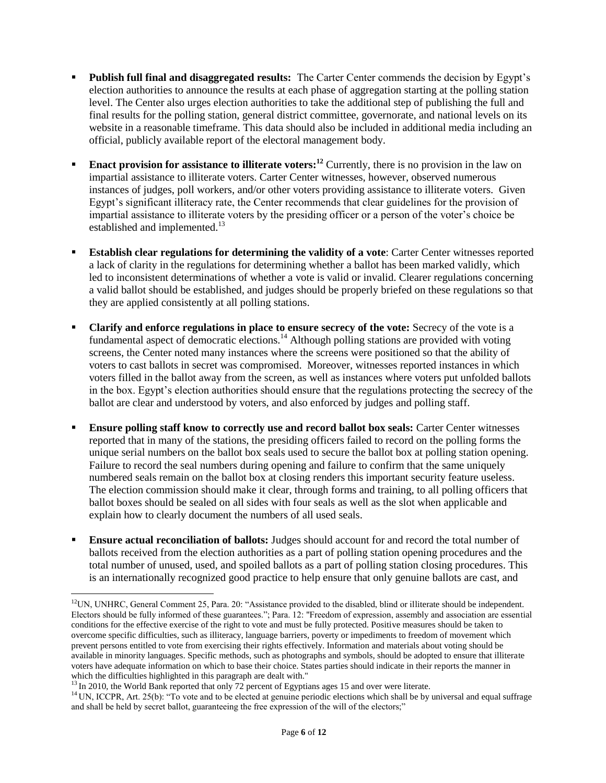- **Publish full final and disaggregated results:** The Carter Center commends the decision by Egypt's election authorities to announce the results at each phase of aggregation starting at the polling station level. The Center also urges election authorities to take the additional step of publishing the full and final results for the polling station, general district committee, governorate, and national levels on its website in a reasonable timeframe. This data should also be included in additional media including an official, publicly available report of the electoral management body.
- **Enact provision for assistance to illiterate voters:**<sup>12</sup> Currently, there is no provision in the law on impartial assistance to illiterate voters. Carter Center witnesses, however, observed numerous instances of judges, poll workers, and/or other voters providing assistance to illiterate voters. Given Egypt's significant illiteracy rate, the Center recommends that clear guidelines for the provision of impartial assistance to illiterate voters by the presiding officer or a person of the voter's choice be established and implemented.<sup>13</sup>
- **Establish clear regulations for determining the validity of a vote**: Carter Center witnesses reported a lack of clarity in the regulations for determining whether a ballot has been marked validly, which led to inconsistent determinations of whether a vote is valid or invalid. Clearer regulations concerning a valid ballot should be established, and judges should be properly briefed on these regulations so that they are applied consistently at all polling stations.
- **Clarify and enforce regulations in place to ensure secrecy of the vote:** Secrecy of the vote is a fundamental aspect of democratic elections.<sup>14</sup> Although polling stations are provided with voting screens, the Center noted many instances where the screens were positioned so that the ability of voters to cast ballots in secret was compromised. Moreover, witnesses reported instances in which voters filled in the ballot away from the screen, as well as instances where voters put unfolded ballots in the box. Egypt's election authorities should ensure that the regulations protecting the secrecy of the ballot are clear and understood by voters, and also enforced by judges and polling staff.
- **Ensure polling staff know to correctly use and record ballot box seals:** Carter Center witnesses reported that in many of the stations, the presiding officers failed to record on the polling forms the unique serial numbers on the ballot box seals used to secure the ballot box at polling station opening. Failure to record the seal numbers during opening and failure to confirm that the same uniquely numbered seals remain on the ballot box at closing renders this important security feature useless. The election commission should make it clear, through forms and training, to all polling officers that ballot boxes should be sealed on all sides with four seals as well as the slot when applicable and explain how to clearly document the numbers of all used seals.
- **Ensure actual reconciliation of ballots:** Judges should account for and record the total number of ballots received from the election authorities as a part of polling station opening procedures and the total number of unused, used, and spoiled ballots as a part of polling station closing procedures. This is an internationally recognized good practice to help ensure that only genuine ballots are cast, and

 $\overline{\phantom{a}}$ 

 $<sup>12</sup>UN, UNHRC, General Comment 25, Para. 20: "Assistance provided to the disabled, blind or illustrate should be independent.$ </sup> Electors should be fully informed of these guarantees."; Para. 12: "Freedom of expression, assembly and association are essential conditions for the effective exercise of the right to vote and must be fully protected. Positive measures should be taken to overcome specific difficulties, such as illiteracy, language barriers, poverty or impediments to freedom of movement which prevent persons entitled to vote from exercising their rights effectively. Information and materials about voting should be available in minority languages. Specific methods, such as photographs and symbols, should be adopted to ensure that illiterate voters have adequate information on which to base their choice. States parties should indicate in their reports the manner in which the difficulties highlighted in this paragraph are dealt with."

<sup>&</sup>lt;sup>13</sup> In 2010, the World Bank reported that only 72 percent of Egyptians ages 15 and over were literate.

<sup>&</sup>lt;sup>14</sup> UN, ICCPR, Art. 25(b): "To vote and to be elected at genuine periodic elections which shall be by universal and equal suffrage and shall be held by secret ballot, guaranteeing the free expression of the will of the electors;"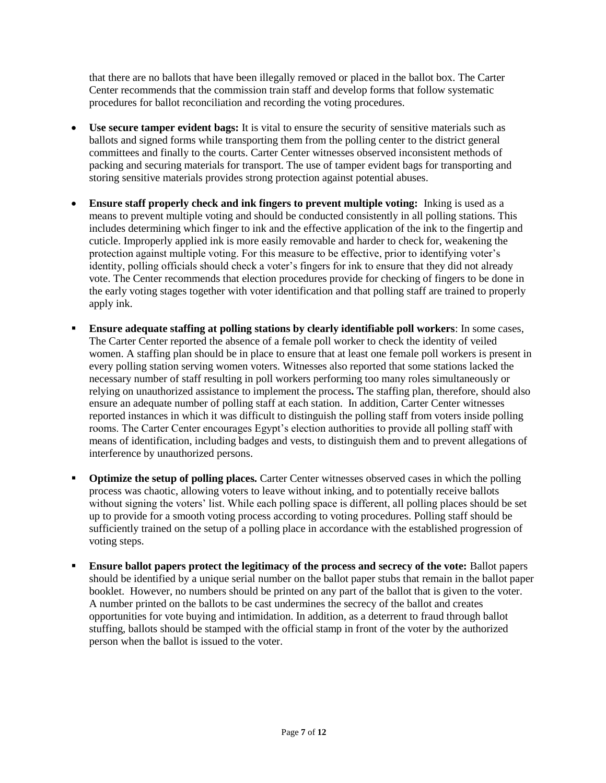that there are no ballots that have been illegally removed or placed in the ballot box. The Carter Center recommends that the commission train staff and develop forms that follow systematic procedures for ballot reconciliation and recording the voting procedures.

- **Use secure tamper evident bags:** It is vital to ensure the security of sensitive materials such as ballots and signed forms while transporting them from the polling center to the district general committees and finally to the courts. Carter Center witnesses observed inconsistent methods of packing and securing materials for transport. The use of tamper evident bags for transporting and storing sensitive materials provides strong protection against potential abuses.
- **Ensure staff properly check and ink fingers to prevent multiple voting:** Inking is used as a means to prevent multiple voting and should be conducted consistently in all polling stations. This includes determining which finger to ink and the effective application of the ink to the fingertip and cuticle. Improperly applied ink is more easily removable and harder to check for, weakening the protection against multiple voting. For this measure to be effective, prior to identifying voter's identity, polling officials should check a voter's fingers for ink to ensure that they did not already vote. The Center recommends that election procedures provide for checking of fingers to be done in the early voting stages together with voter identification and that polling staff are trained to properly apply ink.
- **Ensure adequate staffing at polling stations by clearly identifiable poll workers**: In some cases, The Carter Center reported the absence of a female poll worker to check the identity of veiled women. A staffing plan should be in place to ensure that at least one female poll workers is present in every polling station serving women voters. Witnesses also reported that some stations lacked the necessary number of staff resulting in poll workers performing too many roles simultaneously or relying on unauthorized assistance to implement the process**.** The staffing plan, therefore, should also ensure an adequate number of polling staff at each station. In addition, Carter Center witnesses reported instances in which it was difficult to distinguish the polling staff from voters inside polling rooms. The Carter Center encourages Egypt's election authorities to provide all polling staff with means of identification, including badges and vests, to distinguish them and to prevent allegations of interference by unauthorized persons.
- **Optimize the setup of polling places.** Carter Center witnesses observed cases in which the polling process was chaotic, allowing voters to leave without inking, and to potentially receive ballots without signing the voters' list. While each polling space is different, all polling places should be set up to provide for a smooth voting process according to voting procedures. Polling staff should be sufficiently trained on the setup of a polling place in accordance with the established progression of voting steps.
- **Ensure ballot papers protect the legitimacy of the process and secrecy of the vote: Ballot papers** should be identified by a unique serial number on the ballot paper stubs that remain in the ballot paper booklet. However, no numbers should be printed on any part of the ballot that is given to the voter. A number printed on the ballots to be cast undermines the secrecy of the ballot and creates opportunities for vote buying and intimidation. In addition, as a deterrent to fraud through ballot stuffing, ballots should be stamped with the official stamp in front of the voter by the authorized person when the ballot is issued to the voter.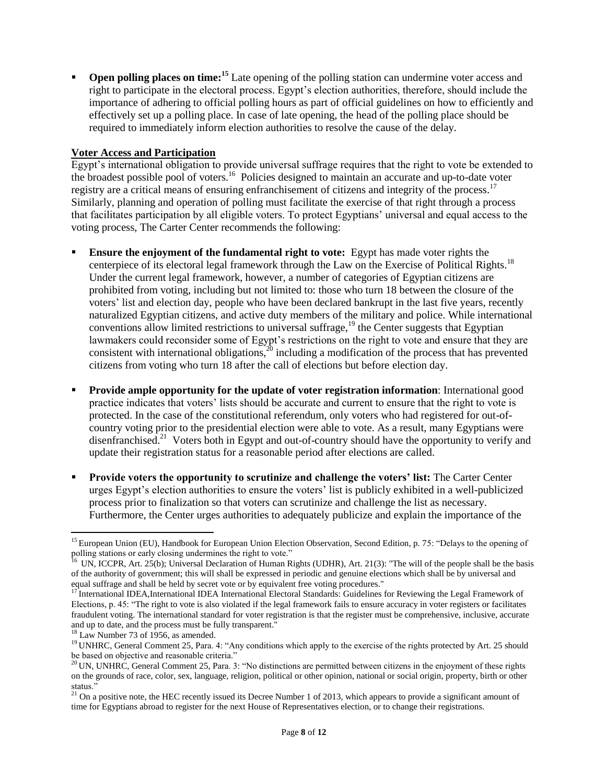**Open polling places on time:**<sup>15</sup> Late opening of the polling station can undermine voter access and right to participate in the electoral process. Egypt's election authorities, therefore, should include the importance of adhering to official polling hours as part of official guidelines on how to efficiently and effectively set up a polling place. In case of late opening, the head of the polling place should be required to immediately inform election authorities to resolve the cause of the delay.

#### **Voter Access and Participation**

Egypt's international obligation to provide universal suffrage requires that the right to vote be extended to the broadest possible pool of voters.<sup>16</sup> Policies designed to maintain an accurate and up-to-date voter registry are a critical means of ensuring enfranchisement of citizens and integrity of the process.<sup>17</sup> Similarly, planning and operation of polling must facilitate the exercise of that right through a process that facilitates participation by all eligible voters. To protect Egyptians' universal and equal access to the voting process, The Carter Center recommends the following:

- **Ensure the enjoyment of the fundamental right to vote:** Egypt has made voter rights the centerpiece of its electoral legal framework through the Law on the Exercise of Political Rights.<sup>18</sup> Under the current legal framework, however, a number of categories of Egyptian citizens are prohibited from voting, including but not limited to: those who turn 18 between the closure of the voters' list and election day, people who have been declared bankrupt in the last five years, recently naturalized Egyptian citizens, and active duty members of the military and police. While international conventions allow limited restrictions to universal suffrage,<sup>19</sup> the Center suggests that Egyptian lawmakers could reconsider some of Egypt's restrictions on the right to vote and ensure that they are consistent with international obligations, $2^{\circ}$  including a modification of the process that has prevented citizens from voting who turn 18 after the call of elections but before election day.
- **Provide ample opportunity for the update of voter registration information**: International good practice indicates that voters' lists should be accurate and current to ensure that the right to vote is protected. In the case of the constitutional referendum, only voters who had registered for out-ofcountry voting prior to the presidential election were able to vote. As a result, many Egyptians were disenfranchised.<sup>21</sup> Voters both in Egypt and out-of-country should have the opportunity to verify and update their registration status for a reasonable period after elections are called.
- **Provide voters the opportunity to scrutinize and challenge the voters' list:** The Carter Center urges Egypt's election authorities to ensure the voters' list is publicly exhibited in a well-publicized process prior to finalization so that voters can scrutinize and challenge the list as necessary. Furthermore, the Center urges authorities to adequately publicize and explain the importance of the

 $\overline{a}$ <sup>15</sup> European Union (EU), Handbook for European Union Election Observation, Second Edition, p. 75: "Delays to the opening of polling stations or early closing undermines the right to vote."

<sup>&</sup>lt;sup>16</sup> UN, ICCPR, Art. 25(b); Universal Declaration of Human Rights (UDHR), Art. 21(3): "The will of the people shall be the basis of the authority of government; this will shall be expressed in periodic and genuine elections which shall be by universal and equal suffrage and shall be held by secret vote or by equivalent free voting procedures."

<sup>&</sup>lt;sup>17</sup> International IDEA, International IDEA International Electoral Standards: Guidelines for Reviewing the Legal Framework of Elections, p. 45: "The right to vote is also violated if the legal framework fails to ensure accuracy in voter registers or facilitates fraudulent voting. The international standard for voter registration is that the register must be comprehensive, inclusive, accurate and up to date, and the process must be fully transparent."

<sup>&</sup>lt;sup>18</sup> Law Number 73 of 1956, as amended.

<sup>&</sup>lt;sup>19</sup> UNHRC. General Comment 25, Para. 4: "Any conditions which apply to the exercise of the rights protected by Art. 25 should be based on objective and reasonable criteria."

 $^{20}$  UN, UNHRC, General Comment 25, Para. 3: "No distinctions are permitted between citizens in the enjoyment of these rights on the grounds of race, color, sex, language, religion, political or other opinion, national or social origin, property, birth or other status."

<sup>&</sup>lt;sup>21</sup> On a positive note, the HEC recently issued its Decree Number 1 of 2013, which appears to provide a significant amount of time for Egyptians abroad to register for the next House of Representatives election, or to change their registrations.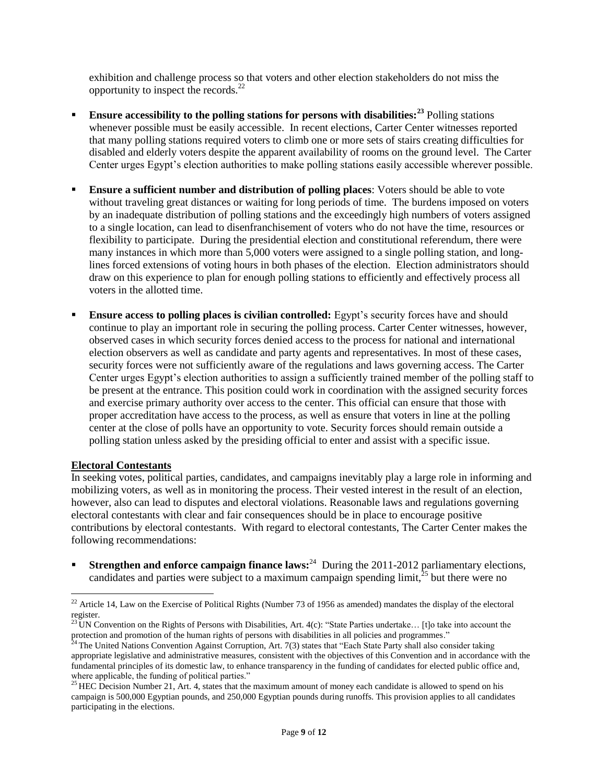exhibition and challenge process so that voters and other election stakeholders do not miss the opportunity to inspect the records.<sup>22</sup>

- **Ensure accessibility to the polling stations for persons with disabilities:<sup>23</sup>** Polling stations whenever possible must be easily accessible. In recent elections, Carter Center witnesses reported that many polling stations required voters to climb one or more sets of stairs creating difficulties for disabled and elderly voters despite the apparent availability of rooms on the ground level. The Carter Center urges Egypt's election authorities to make polling stations easily accessible wherever possible.
- **Ensure a sufficient number and distribution of polling places**: Voters should be able to vote without traveling great distances or waiting for long periods of time. The burdens imposed on voters by an inadequate distribution of polling stations and the exceedingly high numbers of voters assigned to a single location, can lead to disenfranchisement of voters who do not have the time, resources or flexibility to participate. During the presidential election and constitutional referendum, there were many instances in which more than 5,000 voters were assigned to a single polling station, and longlines forced extensions of voting hours in both phases of the election. Election administrators should draw on this experience to plan for enough polling stations to efficiently and effectively process all voters in the allotted time.
- **Ensure access to polling places is civilian controlled:** Egypt's security forces have and should continue to play an important role in securing the polling process. Carter Center witnesses, however, observed cases in which security forces denied access to the process for national and international election observers as well as candidate and party agents and representatives. In most of these cases, security forces were not sufficiently aware of the regulations and laws governing access. The Carter Center urges Egypt's election authorities to assign a sufficiently trained member of the polling staff to be present at the entrance. This position could work in coordination with the assigned security forces and exercise primary authority over access to the center. This official can ensure that those with proper accreditation have access to the process, as well as ensure that voters in line at the polling center at the close of polls have an opportunity to vote. Security forces should remain outside a polling station unless asked by the presiding official to enter and assist with a specific issue.

#### **Electoral Contestants**

 $\overline{\phantom{a}}$ 

In seeking votes, political parties, candidates, and campaigns inevitably play a large role in informing and mobilizing voters, as well as in monitoring the process. Their vested interest in the result of an election, however, also can lead to disputes and electoral violations. Reasonable laws and regulations governing electoral contestants with clear and fair consequences should be in place to encourage positive contributions by electoral contestants. With regard to electoral contestants, The Carter Center makes the following recommendations:

**Strengthen and enforce campaign finance laws:**<sup>24</sup> During the 2011-2012 parliamentary elections, candidates and parties were subject to a maximum campaign spending limit, $^{25}$  but there were no

 $22$  Article 14, Law on the Exercise of Political Rights (Number 73 of 1956 as amended) mandates the display of the electoral register.

<sup>&</sup>lt;sup>23</sup> UN Convention on the Rights of Persons with Disabilities, Art. 4(c): "State Parties undertake... [t]o take into account the protection and promotion of the human rights of persons with disabilities in all policies and programmes."

 $^{24}$  The United Nations Convention Against Corruption, Art. 7(3) states that "Each State Party shall also consider taking appropriate legislative and administrative measures, consistent with the objectives of this Convention and in accordance with the fundamental principles of its domestic law, to enhance transparency in the funding of candidates for elected public office and, where applicable, the funding of political parties."

<sup>&</sup>lt;sup>25</sup> HEC Decision Number 21, Art. 4, states that the maximum amount of money each candidate is allowed to spend on his campaign is 500,000 Egyptian pounds, and 250,000 Egyptian pounds during runoffs. This provision applies to all candidates participating in the elections.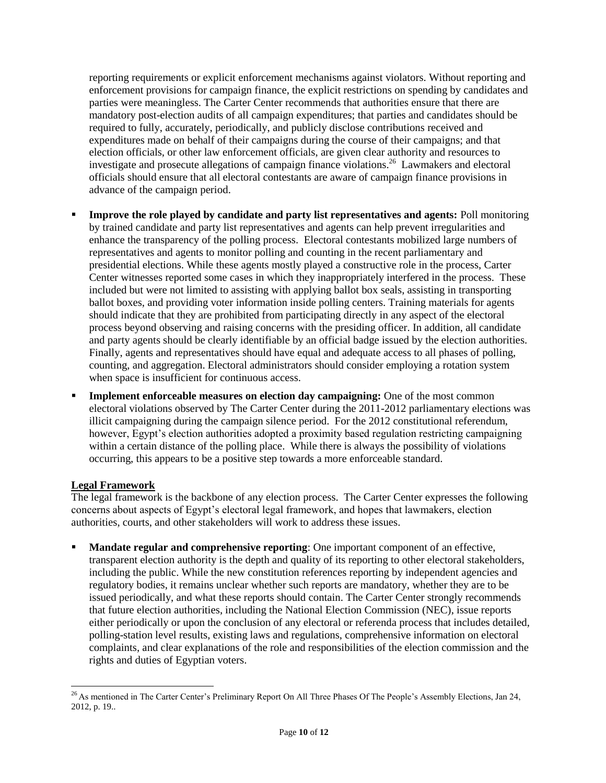reporting requirements or explicit enforcement mechanisms against violators. Without reporting and enforcement provisions for campaign finance, the explicit restrictions on spending by candidates and parties were meaningless. The Carter Center recommends that authorities ensure that there are mandatory post-election audits of all campaign expenditures; that parties and candidates should be required to fully, accurately, periodically, and publicly disclose contributions received and expenditures made on behalf of their campaigns during the course of their campaigns; and that election officials, or other law enforcement officials, are given clear authority and resources to investigate and prosecute allegations of campaign finance violations.<sup>26</sup> Lawmakers and electoral officials should ensure that all electoral contestants are aware of campaign finance provisions in advance of the campaign period.

- **Improve the role played by candidate and party list representatives and agents:** Poll monitoring by trained candidate and party list representatives and agents can help prevent irregularities and enhance the transparency of the polling process. Electoral contestants mobilized large numbers of representatives and agents to monitor polling and counting in the recent parliamentary and presidential elections. While these agents mostly played a constructive role in the process, Carter Center witnesses reported some cases in which they inappropriately interfered in the process. These included but were not limited to assisting with applying ballot box seals, assisting in transporting ballot boxes, and providing voter information inside polling centers. Training materials for agents should indicate that they are prohibited from participating directly in any aspect of the electoral process beyond observing and raising concerns with the presiding officer. In addition, all candidate and party agents should be clearly identifiable by an official badge issued by the election authorities. Finally, agents and representatives should have equal and adequate access to all phases of polling, counting, and aggregation. Electoral administrators should consider employing a rotation system when space is insufficient for continuous access.
- **Implement enforceable measures on election day campaigning:** One of the most common electoral violations observed by The Carter Center during the 2011-2012 parliamentary elections was illicit campaigning during the campaign silence period. For the 2012 constitutional referendum, however, Egypt's election authorities adopted a proximity based regulation restricting campaigning within a certain distance of the polling place. While there is always the possibility of violations occurring, this appears to be a positive step towards a more enforceable standard.

# **Legal Framework**

The legal framework is the backbone of any election process. The Carter Center expresses the following concerns about aspects of Egypt's electoral legal framework, and hopes that lawmakers, election authorities, courts, and other stakeholders will work to address these issues.

 **Mandate regular and comprehensive reporting**: One important component of an effective, transparent election authority is the depth and quality of its reporting to other electoral stakeholders, including the public. While the new constitution references reporting by independent agencies and regulatory bodies, it remains unclear whether such reports are mandatory, whether they are to be issued periodically, and what these reports should contain. The Carter Center strongly recommends that future election authorities, including the National Election Commission (NEC), issue reports either periodically or upon the conclusion of any electoral or referenda process that includes detailed, polling-station level results, existing laws and regulations, comprehensive information on electoral complaints, and clear explanations of the role and responsibilities of the election commission and the rights and duties of Egyptian voters.

 $\overline{a}$  $^{26}$  As mentioned in The Carter Center's Preliminary Report On All Three Phases Of The People's Assembly Elections, Jan 24, 2012, p. 19..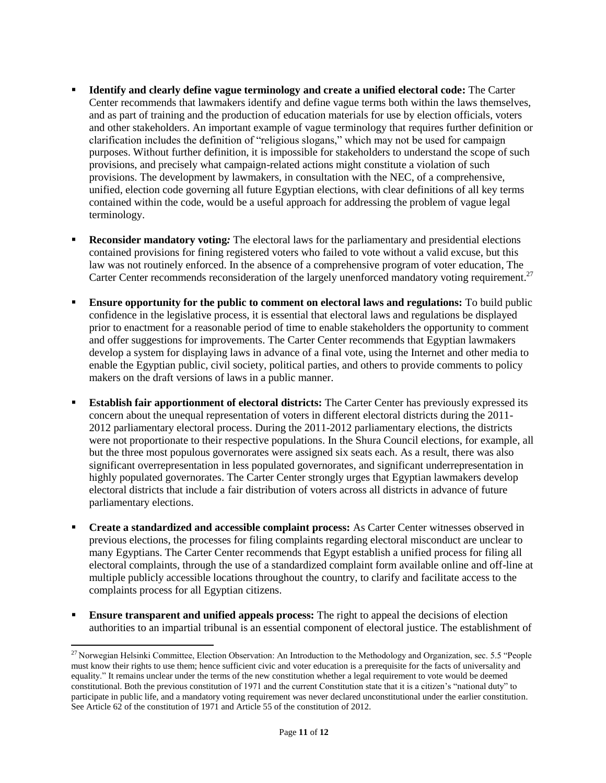- **Identify and clearly define vague terminology and create a unified electoral code:** The Carter Center recommends that lawmakers identify and define vague terms both within the laws themselves, and as part of training and the production of education materials for use by election officials, voters and other stakeholders. An important example of vague terminology that requires further definition or clarification includes the definition of "religious slogans," which may not be used for campaign purposes. Without further definition, it is impossible for stakeholders to understand the scope of such provisions, and precisely what campaign-related actions might constitute a violation of such provisions. The development by lawmakers, in consultation with the NEC, of a comprehensive, unified, election code governing all future Egyptian elections, with clear definitions of all key terms contained within the code, would be a useful approach for addressing the problem of vague legal terminology.
- **Reconsider mandatory voting***:* The electoral laws for the parliamentary and presidential elections contained provisions for fining registered voters who failed to vote without a valid excuse, but this law was not routinely enforced. In the absence of a comprehensive program of voter education, The Carter Center recommends reconsideration of the largely unenforced mandatory voting requirement.<sup>27</sup>
- **Ensure opportunity for the public to comment on electoral laws and regulations:** To build public confidence in the legislative process, it is essential that electoral laws and regulations be displayed prior to enactment for a reasonable period of time to enable stakeholders the opportunity to comment and offer suggestions for improvements. The Carter Center recommends that Egyptian lawmakers develop a system for displaying laws in advance of a final vote, using the Internet and other media to enable the Egyptian public, civil society, political parties, and others to provide comments to policy makers on the draft versions of laws in a public manner.
- **Establish fair apportionment of electoral districts:** The Carter Center has previously expressed its concern about the unequal representation of voters in different electoral districts during the 2011- 2012 parliamentary electoral process. During the 2011-2012 parliamentary elections, the districts were not proportionate to their respective populations. In the Shura Council elections, for example, all but the three most populous governorates were assigned six seats each. As a result, there was also significant overrepresentation in less populated governorates, and significant underrepresentation in highly populated governorates. The Carter Center strongly urges that Egyptian lawmakers develop electoral districts that include a fair distribution of voters across all districts in advance of future parliamentary elections.
- **Create a standardized and accessible complaint process:** As Carter Center witnesses observed in previous elections, the processes for filing complaints regarding electoral misconduct are unclear to many Egyptians. The Carter Center recommends that Egypt establish a unified process for filing all electoral complaints, through the use of a standardized complaint form available online and off-line at multiple publicly accessible locations throughout the country, to clarify and facilitate access to the complaints process for all Egyptian citizens.
- **Ensure transparent and unified appeals process:** The right to appeal the decisions of election authorities to an impartial tribunal is an essential component of electoral justice. The establishment of

 $\overline{\phantom{a}}$ 

<sup>&</sup>lt;sup>27</sup> Norwegian Helsinki Committee, Election Observation: An Introduction to the Methodology and Organization, sec. 5.5 "People must know their rights to use them; hence sufficient civic and voter education is a prerequisite for the facts of universality and equality." It remains unclear under the terms of the new constitution whether a legal requirement to vote would be deemed constitutional. Both the previous constitution of 1971 and the current Constitution state that it is a citizen's "national duty" to participate in public life, and a mandatory voting requirement was never declared unconstitutional under the earlier constitution. See Article 62 of the constitution of 1971 and Article 55 of the constitution of 2012.